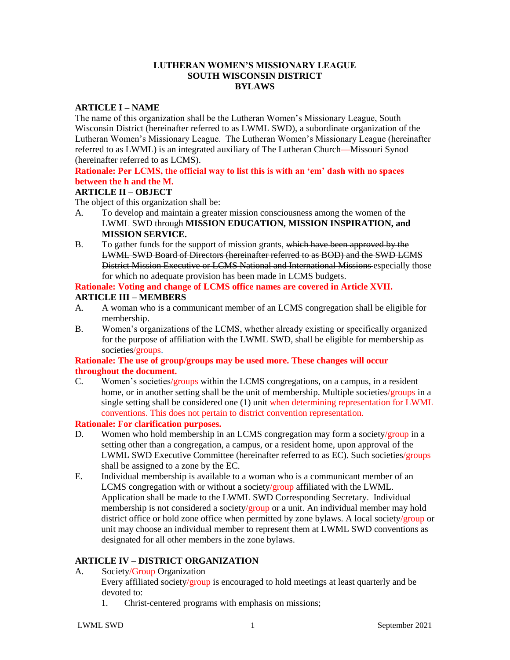#### **LUTHERAN WOMEN'S MISSIONARY LEAGUE SOUTH WISCONSIN DISTRICT BYLAWS**

#### **ARTICLE I – NAME**

The name of this organization shall be the Lutheran Women's Missionary League, South Wisconsin District (hereinafter referred to as LWML SWD), a subordinate organization of the Lutheran Women's Missionary League. The Lutheran Women's Missionary League (hereinafter referred to as LWML) is an integrated auxiliary of The Lutheran Church—Missouri Synod (hereinafter referred to as LCMS).

### **Rationale: Per LCMS, the official way to list this is with an 'em' dash with no spaces between the h and the M.**

#### **ARTICLE II – OBJECT**

The object of this organization shall be:

- A. To develop and maintain a greater mission consciousness among the women of the LWML SWD through **MISSION EDUCATION, MISSION INSPIRATION, and MISSION SERVICE.**
- B. To gather funds for the support of mission grants, which have been approved by the LWML SWD Board of Directors (hereinafter referred to as BOD) and the SWD LCMS District Mission Executive or LCMS National and International Missions especially those for which no adequate provision has been made in LCMS budgets.

#### **Rationale: Voting and change of LCMS office names are covered in Article XVII. ARTICLE III – MEMBERS**

- A. A woman who is a communicant member of an LCMS congregation shall be eligible for membership.
- B. Women's organizations of the LCMS, whether already existing or specifically organized for the purpose of affiliation with the LWML SWD, shall be eligible for membership as societies/groups.

### **Rationale: The use of group/groups may be used more. These changes will occur throughout the document.**

C. Women's societies/groups within the LCMS congregations, on a campus, in a resident home, or in another setting shall be the unit of membership. Multiple societies/groups in a single setting shall be considered one (1) unit when determining representation for LWML conventions. This does not pertain to district convention representation.

### **Rationale: For clarification purposes.**

- D. Women who hold membership in an LCMS congregation may form a society/group in a setting other than a congregation, a campus, or a resident home, upon approval of the LWML SWD Executive Committee (hereinafter referred to as EC). Such societies/groups shall be assigned to a zone by the EC.
- E. Individual membership is available to a woman who is a communicant member of an LCMS congregation with or without a society/group affiliated with the LWML. Application shall be made to the LWML SWD Corresponding Secretary. Individual membership is not considered a society/group or a unit. An individual member may hold district office or hold zone office when permitted by zone bylaws. A local society/group or unit may choose an individual member to represent them at LWML SWD conventions as designated for all other members in the zone bylaws.

#### **ARTICLE IV – DISTRICT ORGANIZATION**

A. Society/Group Organization

Every affiliated society/group is encouraged to hold meetings at least quarterly and be devoted to:

1. Christ-centered programs with emphasis on missions;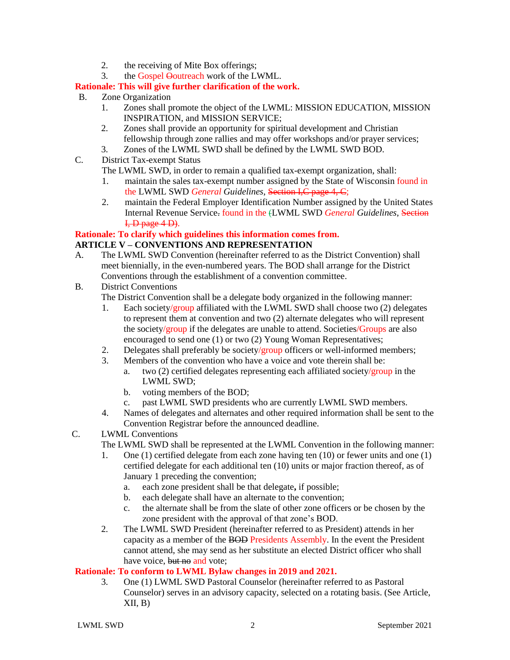- 2. the receiving of Mite Box offerings;
- 3. the Gospel Ooutreach work of the LWML.

# **Rationale: This will give further clarification of the work.**

- B. Zone Organization
	- 1. Zones shall promote the object of the LWML: MISSION EDUCATION, MISSION INSPIRATION, and MISSION SERVICE;
	- 2. Zones shall provide an opportunity for spiritual development and Christian fellowship through zone rallies and may offer workshops and/or prayer services;
	- 3. Zones of the LWML SWD shall be defined by the LWML SWD BOD.
- C. District Tax-exempt Status

The LWML SWD, in order to remain a qualified tax-exempt organization, shall:

- 1. maintain the sales tax-exempt number assigned by the State of Wisconsin found in the LWML SWD *General Guidelines*, Section I,C page 4, C;
- 2. maintain the Federal Employer Identification Number assigned by the United States Internal Revenue Service. found in the (LWML SWD *General Guidelines*, Section  $I, D$  page  $4D$ ).

# **Rationale: To clarify which guidelines this information comes from.**

# **ARTICLE V – CONVENTIONS AND REPRESENTATION**

- A. The LWML SWD Convention (hereinafter referred to as the District Convention) shall meet biennially, in the even-numbered years. The BOD shall arrange for the District Conventions through the establishment of a convention committee.
- B. District Conventions

The District Convention shall be a delegate body organized in the following manner:

- 1. Each society/group affiliated with the LWML SWD shall choose two  $(2)$  delegates to represent them at convention and two (2) alternate delegates who will represent the society/group if the delegates are unable to attend. Societies/Groups are also encouraged to send one (1) or two (2) Young Woman Representatives;
- 2. Delegates shall preferably be society/group officers or well-informed members;
- 3. Members of the convention who have a voice and vote therein shall be:
	- a. two (2) certified delegates representing each affiliated society/group in the LWML SWD;
	- b. voting members of the BOD;
	- c. past LWML SWD presidents who are currently LWML SWD members.
- 4. Names of delegates and alternates and other required information shall be sent to the Convention Registrar before the announced deadline.
- C. LWML Conventions

The LWML SWD shall be represented at the LWML Convention in the following manner:

- 1. One (1) certified delegate from each zone having ten (10) or fewer units and one (1) certified delegate for each additional ten (10) units or major fraction thereof, as of January 1 preceding the convention;
	- a. each zone president shall be that delegate**,** if possible;
	- b. each delegate shall have an alternate to the convention;
	- c. the alternate shall be from the slate of other zone officers or be chosen by the zone president with the approval of that zone's BOD.
- 2. The LWML SWD President (hereinafter referred to as President) attends in her capacity as a member of the BOD Presidents Assembly. In the event the President cannot attend, she may send as her substitute an elected District officer who shall have voice, but no and vote:

# **Rationale: To conform to LWML Bylaw changes in 2019 and 2021.**

3. One (1) LWML SWD Pastoral Counselor (hereinafter referred to as Pastoral Counselor) serves in an advisory capacity, selected on a rotating basis. (See Article,  $XII, B)$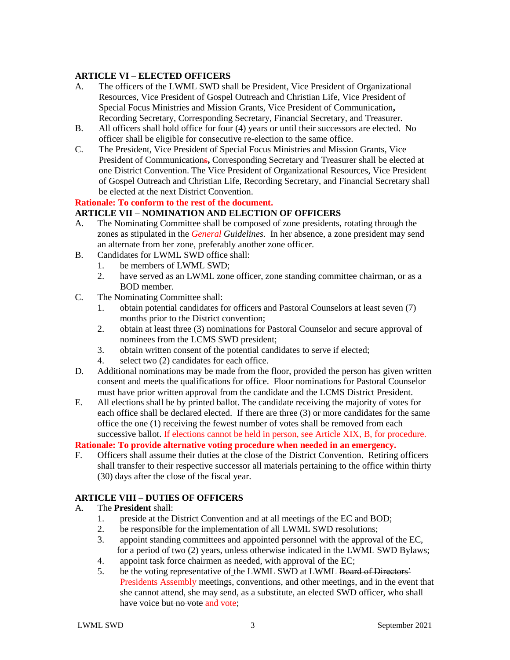# **ARTICLE VI – ELECTED OFFICERS**

- A. The officers of the LWML SWD shall be President, Vice President of Organizational Resources, Vice President of Gospel Outreach and Christian Life, Vice President of Special Focus Ministries and Mission Grants, Vice President of Communication**,**  Recording Secretary, Corresponding Secretary, Financial Secretary, and Treasurer.
- B. All officers shall hold office for four (4) years or until their successors are elected. No officer shall be eligible for consecutive re-election to the same office.
- C. The President, Vice President of Special Focus Ministries and Mission Grants, Vice President of Communications**,** Corresponding Secretary and Treasurer shall be elected at one District Convention. The Vice President of Organizational Resources, Vice President of Gospel Outreach and Christian Life, Recording Secretary, and Financial Secretary shall be elected at the next District Convention.

#### **Rationale: To conform to the rest of the document.**

### **ARTICLE VII – NOMINATION AND ELECTION OF OFFICERS**

- A. The Nominating Committee shall be composed of zone presidents, rotating through the zones as stipulated in the *General Guidelines.* In her absence, a zone president may send an alternate from her zone, preferably another zone officer.
- B. Candidates for LWML SWD office shall:
	- 1. be members of LWML SWD;
	- 2. have served as an LWML zone officer, zone standing committee chairman, or as a BOD member.
- C. The Nominating Committee shall:
	- 1. obtain potential candidates for officers and Pastoral Counselors at least seven (7) months prior to the District convention;
	- 2. obtain at least three (3) nominations for Pastoral Counselor and secure approval of nominees from the LCMS SWD president;
	- 3. obtain written consent of the potential candidates to serve if elected;
	- 4. select two (2) candidates for each office.
- D. Additional nominations may be made from the floor, provided the person has given written consent and meets the qualifications for office. Floor nominations for Pastoral Counselor must have prior written approval from the candidate and the LCMS District President.
- E. All elections shall be by printed ballot. The candidate receiving the majority of votes for each office shall be declared elected. If there are three (3) or more candidates for the same office the one (1) receiving the fewest number of votes shall be removed from each successive ballot. If elections cannot be held in person, see Article XIX, B, for procedure.

# **Rationale: To provide alternative voting procedure when needed in an emergency.**

F. Officers shall assume their duties at the close of the District Convention. Retiring officers shall transfer to their respective successor all materials pertaining to the office within thirty (30) days after the close of the fiscal year.

# **ARTICLE VIII – DUTIES OF OFFICERS**

#### A. The **President** shall:

- 1. preside at the District Convention and at all meetings of the EC and BOD;
- 2. be responsible for the implementation of all LWML SWD resolutions;
- 3. appoint standing committees and appointed personnel with the approval of the EC, for a period of two (2) years, unless otherwise indicated in the LWML SWD Bylaws;
- 4. appoint task force chairmen as needed, with approval of the EC;
- 5. be the voting representative of the LWML SWD at LWML Board of Directors' Presidents Assembly meetings, conventions, and other meetings, and in the event that she cannot attend, she may send, as a substitute, an elected SWD officer, who shall have voice but no vote and vote;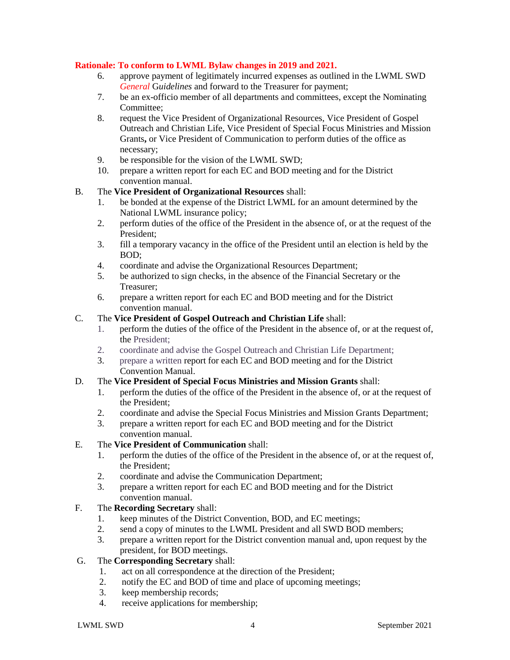### **Rationale: To conform to LWML Bylaw changes in 2019 and 2021.**

- 6. approve payment of legitimately incurred expenses as outlined in the LWML SWD *General* G*uidelines* and forward to the Treasurer for payment;
- 7. be an ex-officio member of all departments and committees, except the Nominating Committee;
- 8. request the Vice President of Organizational Resources, Vice President of Gospel Outreach and Christian Life, Vice President of Special Focus Ministries and Mission Grants**,** or Vice President of Communication to perform duties of the office as necessary;
- 9. be responsible for the vision of the LWML SWD;
- 10. prepare a written report for each EC and BOD meeting and for the District convention manual.

### B. The **Vice President of Organizational Resources** shall:

- 1. be bonded at the expense of the District LWML for an amount determined by the National LWML insurance policy;
- 2. perform duties of the office of the President in the absence of, or at the request of the President;
- 3. fill a temporary vacancy in the office of the President until an election is held by the BOD;
- 4. coordinate and advise the Organizational Resources Department;
- 5. be authorized to sign checks, in the absence of the Financial Secretary or the Treasurer;
- 6. prepare a written report for each EC and BOD meeting and for the District convention manual.

### C. The **Vice President of Gospel Outreach and Christian Life** shall:

- 1. perform the duties of the office of the President in the absence of, or at the request of, the President;
- 2. coordinate and advise the Gospel Outreach and Christian Life Department;
- 3. prepare a written report for each EC and BOD meeting and for the District Convention Manual.

#### D. The **Vice President of Special Focus Ministries and Mission Grants** shall:

- 1. perform the duties of the office of the President in the absence of, or at the request of the President;
- 2. coordinate and advise the Special Focus Ministries and Mission Grants Department;
- 3. prepare a written report for each EC and BOD meeting and for the District convention manual.

#### E. The **Vice President of Communication** shall:

- 1. perform the duties of the office of the President in the absence of, or at the request of, the President;
- 2. coordinate and advise the Communication Department;
- 3. prepare a written report for each EC and BOD meeting and for the District convention manual.

# F. The **Recording Secretary** shall:

- 1. keep minutes of the District Convention, BOD, and EC meetings;
- 2. send a copy of minutes to the LWML President and all SWD BOD members;
- 3. prepare a written report for the District convention manual and, upon request by the president, for BOD meetings.

### G. The **Corresponding Secretary** shall:

- 1. act on all correspondence at the direction of the President;
- 2. notify the EC and BOD of time and place of upcoming meetings;
- 3. keep membership records;
- 4. receive applications for membership;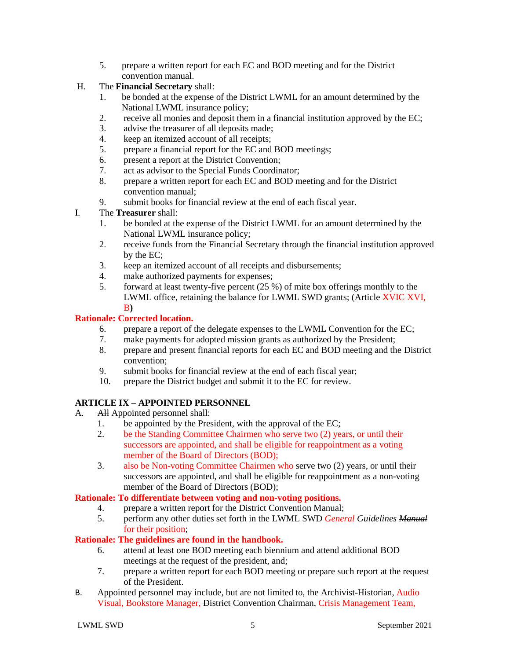- 5. prepare a written report for each EC and BOD meeting and for the District convention manual.
- H. The **Financial Secretary** shall:
	- 1. be bonded at the expense of the District LWML for an amount determined by the National LWML insurance policy;
	- 2. receive all monies and deposit them in a financial institution approved by the EC;
	- 3. advise the treasurer of all deposits made;
	- 4. keep an itemized account of all receipts;
	- 5. prepare a financial report for the EC and BOD meetings;
	- 6. present a report at the District Convention;
	- 7. act as advisor to the Special Funds Coordinator;
	- 8. prepare a written report for each EC and BOD meeting and for the District convention manual;
	- 9. submit books for financial review at the end of each fiscal year.
- I. The **Treasurer** shall:
	- 1. be bonded at the expense of the District LWML for an amount determined by the National LWML insurance policy;
	- 2. receive funds from the Financial Secretary through the financial institution approved by the EC;
	- 3. keep an itemized account of all receipts and disbursements;
	- 4. make authorized payments for expenses;
	- 5. forward at least twenty-five percent (25 %) of mite box offerings monthly to the LWML office, retaining the balance for LWML SWD grants; (Article **XVIC XVI**, B**)**

### **Rationale: Corrected location.**

- 6. prepare a report of the delegate expenses to the LWML Convention for the EC;
- 7. make payments for adopted mission grants as authorized by the President;
- 8. prepare and present financial reports for each EC and BOD meeting and the District convention;
- 9. submit books for financial review at the end of each fiscal year;
- 10. prepare the District budget and submit it to the EC for review.

# **ARTICLE IX – APPOINTED PERSONNEL**

- A. All Appointed personnel shall:
	- 1. be appointed by the President, with the approval of the EC;
	- 2. be the Standing Committee Chairmen who serve two (2) years, or until their successors are appointed, and shall be eligible for reappointment as a voting member of the Board of Directors (BOD);
	- 3. also be Non-voting Committee Chairmen who serve two (2) years, or until their successors are appointed, and shall be eligible for reappointment as a non-voting member of the Board of Directors (BOD);

#### **Rationale: To differentiate between voting and non-voting positions.**

- 4. prepare a written report for the District Convention Manual;
- 5. perform any other duties set forth in the LWML SWD *General Guidelines Manual* for their position;

#### **Rationale: The guidelines are found in the handbook.**

- 6. attend at least one BOD meeting each biennium and attend additional BOD meetings at the request of the president, and;
- 7. prepare a written report for each BOD meeting or prepare such report at the request of the President.
- B. Appointed personnel may include, but are not limited to, the Archivist-Historian, Audio Visual, Bookstore Manager, District Convention Chairman, Crisis Management Team,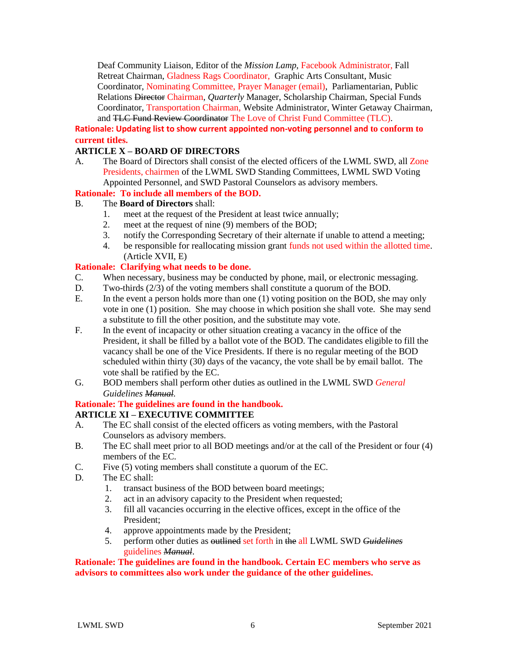Deaf Community Liaison, Editor of the *Mission Lamp*, Facebook Administrator, Fall Retreat Chairman, Gladness Rags Coordinator, Graphic Arts Consultant, Music Coordinator, Nominating Committee, Prayer Manager (email), Parliamentarian, Public Relations Director Chairman, *Quarterly* Manager, Scholarship Chairman, Special Funds Coordinator, Transportation Chairman, Website Administrator, Winter Getaway Chairman, and TLC Fund Review Coordinator The Love of Christ Fund Committee (TLC).

**Rationale: Updating list to show current appointed non-voting personnel and to conform to current titles.**

### **ARTICLE X – BOARD OF DIRECTORS**

A. The Board of Directors shall consist of the elected officers of the LWML SWD, all Zone Presidents, chairmen of the LWML SWD Standing Committees, LWML SWD Voting Appointed Personnel, and SWD Pastoral Counselors as advisory members.

### **Rationale: To include all members of the BOD.**

### B. The **Board of Directors** shall:

- 1. meet at the request of the President at least twice annually;
- 2. meet at the request of nine (9) members of the BOD;
- 3. notify the Corresponding Secretary of their alternate if unable to attend a meeting;
- 4. be responsible for reallocating mission grant funds not used within the allotted time. (Article XVII, E)

### **Rationale: Clarifying what needs to be done.**

- C. When necessary, business may be conducted by phone, mail, or electronic messaging.
- D. Two-thirds (2/3) of the voting members shall constitute a quorum of the BOD.
- E. In the event a person holds more than one (1) voting position on the BOD, she may only vote in one (1) position. She may choose in which position she shall vote. She may send a substitute to fill the other position, and the substitute may vote.
- F. In the event of incapacity or other situation creating a vacancy in the office of the President, it shall be filled by a ballot vote of the BOD. The candidates eligible to fill the vacancy shall be one of the Vice Presidents. If there is no regular meeting of the BOD scheduled within thirty (30) days of the vacancy, the vote shall be by email ballot. The vote shall be ratified by the EC.
- G. BOD members shall perform other duties as outlined in the LWML SWD *General Guidelines Manual.*

#### **Rationale: The guidelines are found in the handbook.**

# **ARTICLE XI – EXECUTIVE COMMITTEE**

- A. The EC shall consist of the elected officers as voting members, with the Pastoral Counselors as advisory members.
- B. The EC shall meet prior to all BOD meetings and/or at the call of the President or four (4) members of the EC.
- C. Five (5) voting members shall constitute a quorum of the EC.
- D. The EC shall:
	- 1. transact business of the BOD between board meetings;
	- 2. act in an advisory capacity to the President when requested;
	- 3. fill all vacancies occurring in the elective offices, except in the office of the President;
	- 4. approve appointments made by the President;
	- 5. perform other duties as outlined set forth in the all LWML SWD *Guidelines* guidelines *Manual*.

#### **Rationale: The guidelines are found in the handbook. Certain EC members who serve as advisors to committees also work under the guidance of the other guidelines.**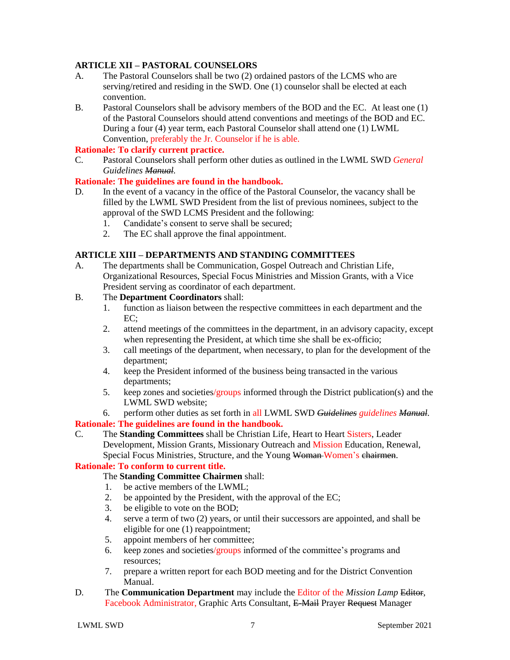### **ARTICLE XII – PASTORAL COUNSELORS**

- A. The Pastoral Counselors shall be two (2) ordained pastors of the LCMS who are serving/retired and residing in the SWD. One (1) counselor shall be elected at each convention.
- B. Pastoral Counselors shall be advisory members of the BOD and the EC. At least one (1) of the Pastoral Counselors should attend conventions and meetings of the BOD and EC. During a four (4) year term, each Pastoral Counselor shall attend one (1) LWML Convention, preferably the Jr. Counselor if he is able.

# **Rationale: To clarify current practice.**

C. Pastoral Counselors shall perform other duties as outlined in the LWML SWD *General Guidelines Manual.*

### **Rationale: The guidelines are found in the handbook.**

- D. In the event of a vacancy in the office of the Pastoral Counselor, the vacancy shall be filled by the LWML SWD President from the list of previous nominees, subject to the approval of the SWD LCMS President and the following:
	- 1. Candidate's consent to serve shall be secured;<br>2. The EC shall approve the final appointment.
	- The EC shall approve the final appointment.

#### **ARTICLE XIII – DEPARTMENTS AND STANDING COMMITTEES**

A. The departments shall be Communication, Gospel Outreach and Christian Life, Organizational Resources, Special Focus Ministries and Mission Grants, with a Vice President serving as coordinator of each department.

#### B. The **Department Coordinators** shall:

- 1. function as liaison between the respective committees in each department and the EC;
- 2. attend meetings of the committees in the department, in an advisory capacity, except when representing the President, at which time she shall be ex-officio;
- 3. call meetings of the department, when necessary, to plan for the development of the department;
- 4. keep the President informed of the business being transacted in the various departments;
- 5. keep zones and societies/groups informed through the District publication(s) and the LWML SWD website;
- 6. perform other duties as set forth in all LWML SWD *Guidelines guidelines Manual.*

#### **Rationale: The guidelines are found in the handbook.**

C. The **Standing Committees** shall be Christian Life, Heart to Heart Sisters, Leader Development, Mission Grants, Missionary Outreach and Mission Education, Renewal, Special Focus Ministries, Structure, and the Young Woman-Women's chairmen.

#### **Rationale: To conform to current title.**

The **Standing Committee Chairmen** shall:

- 1. be active members of the LWML;
- 2. be appointed by the President, with the approval of the EC;
- 3. be eligible to vote on the BOD;
- 4. serve a term of two (2) years, or until their successors are appointed, and shall be eligible for one (1) reappointment;
- 5. appoint members of her committee;
- 6. keep zones and societies/groups informed of the committee's programs and resources;
- 7. prepare a written report for each BOD meeting and for the District Convention Manual.
- D. The **Communication Department** may include the Editor of the *Mission Lamp* Editor, Facebook Administrator, Graphic Arts Consultant, E-Mail Prayer Request Manager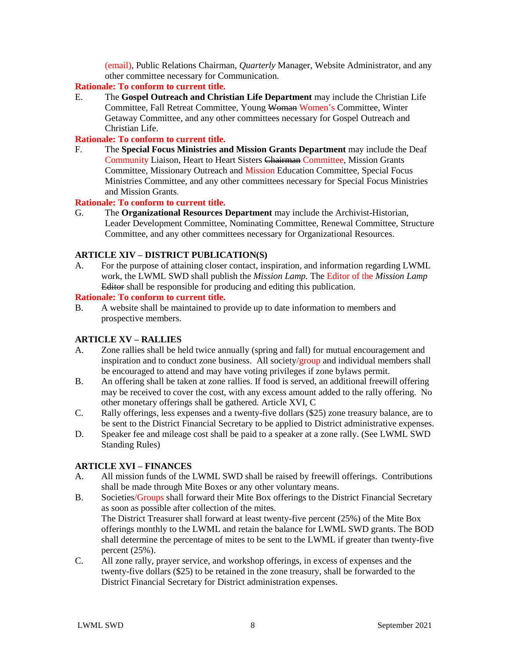(email), Public Relations Chairman, *Quarterly* Manager, Website Administrator, and any other committee necessary for Communication.

### **Rationale: To conform to current title.**

E. The **Gospel Outreach and Christian Life Department** may include the Christian Life Committee, Fall Retreat Committee, Young Woman Women's Committee, Winter Getaway Committee, and any other committees necessary for Gospel Outreach and Christian Life.

### **Rationale: To conform to current title.**

F. The **Special Focus Ministries and Mission Grants Department** may include the Deaf Community Liaison, Heart to Heart Sisters Chairman Committee, Mission Grants Committee, Missionary Outreach and Mission Education Committee, Special Focus Ministries Committee, and any other committees necessary for Special Focus Ministries and Mission Grants*.*

### **Rationale: To conform to current title.**

G. The **Organizational Resources Department** may include the Archivist-Historian, Leader Development Committee, Nominating Committee, Renewal Committee, Structure Committee, and any other committees necessary for Organizational Resources.

### **ARTICLE XIV – DISTRICT PUBLICATION(S)**

A. For the purpose of attaining closer contact, inspiration, and information regarding LWML work, the LWML SWD shall publish the *Mission Lamp.* The Editor of the *Mission Lamp*  Editor shall be responsible for producing and editing this publication.

#### **Rationale: To conform to current title.**

B. A website shall be maintained to provide up to date information to members and prospective members.

# **ARTICLE XV – RALLIES**

- A. Zone rallies shall be held twice annually (spring and fall) for mutual encouragement and inspiration and to conduct zone business. All society/group and individual members shall be encouraged to attend and may have voting privileges if zone bylaws permit.
- B. An offering shall be taken at zone rallies. If food is served, an additional freewill offering may be received to cover the cost, with any excess amount added to the rally offering. No other monetary offerings shall be gathered. Article XVI, C
- C. Rally offerings, less expenses and a twenty-five dollars (\$25) zone treasury balance, are to be sent to the District Financial Secretary to be applied to District administrative expenses.
- D. Speaker fee and mileage cost shall be paid to a speaker at a zone rally. (See LWML SWD Standing Rules)

# **ARTICLE XVI – FINANCES**

- A. All mission funds of the LWML SWD shall be raised by freewill offerings. Contributions shall be made through Mite Boxes or any other voluntary means.
- B. Societies/Groups shall forward their Mite Box offerings to the District Financial Secretary as soon as possible after collection of the mites. The District Treasurer shall forward at least twenty-five percent (25%) of the Mite Box offerings monthly to the LWML and retain the balance for LWML SWD grants. The BOD shall determine the percentage of mites to be sent to the LWML if greater than twenty-five percent (25%).
- C. All zone rally, prayer service, and workshop offerings, in excess of expenses and the twenty-five dollars (\$25) to be retained in the zone treasury, shall be forwarded to the District Financial Secretary for District administration expenses.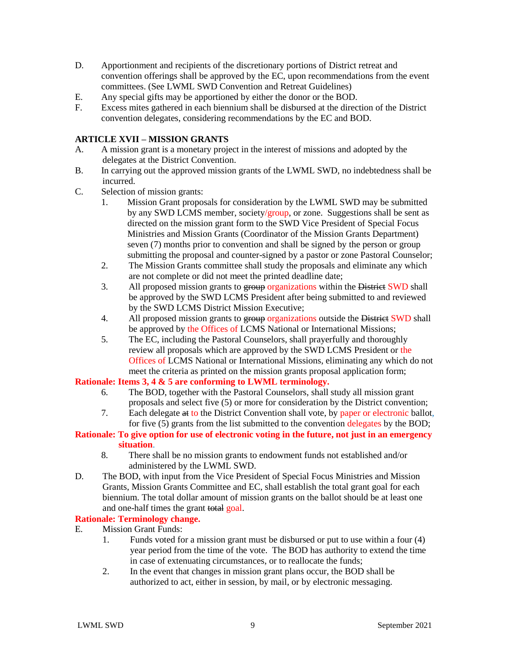- D. Apportionment and recipients of the discretionary portions of District retreat and convention offerings shall be approved by the EC, upon recommendations from the event committees. (See LWML SWD Convention and Retreat Guidelines)
- E. Any special gifts may be apportioned by either the donor or the BOD.
- F. Excess mites gathered in each biennium shall be disbursed at the direction of the District convention delegates, considering recommendations by the EC and BOD.

# **ARTICLE XVII – MISSION GRANTS**

- A. A mission grant is a monetary project in the interest of missions and adopted by the delegates at the District Convention.
- B. In carrying out the approved mission grants of the LWML SWD, no indebtedness shall be incurred.
- C. Selection of mission grants:
	- 1. Mission Grant proposals for consideration by the LWML SWD may be submitted by any SWD LCMS member, society/group, or zone. Suggestions shall be sent as directed on the mission grant form to the SWD Vice President of Special Focus Ministries and Mission Grants (Coordinator of the Mission Grants Department) seven (7) months prior to convention and shall be signed by the person or group submitting the proposal and counter-signed by a pastor or zone Pastoral Counselor;
	- 2. The Mission Grants committee shall study the proposals and eliminate any which are not complete or did not meet the printed deadline date;
	- 3. All proposed mission grants to group organizations within the District SWD shall be approved by the SWD LCMS President after being submitted to and reviewed by the SWD LCMS District Mission Executive;
	- 4. All proposed mission grants to group organizations outside the District SWD shall be approved by the Offices of LCMS National or International Missions;
	- 5. The EC, including the Pastoral Counselors, shall prayerfully and thoroughly review all proposals which are approved by the SWD LCMS President or the Offices of LCMS National or International Missions, eliminating any which do not meet the criteria as printed on the mission grants proposal application form;

### **Rationale: Items 3, 4 & 5 are conforming to LWML terminology.**

- 6. The BOD, together with the Pastoral Counselors, shall study all mission grant proposals and select five (5) or more for consideration by the District convention;
- 7. Each delegate at to the District Convention shall vote, by paper or electronic ballot, for five (5) grants from the list submitted to the convention delegates by the BOD;

# **Rationale: To give option for use of electronic voting in the future, not just in an emergency situation**.

- 8. There shall be no mission grants to endowment funds not established and/or administered by the LWML SWD.
- D. The BOD, with input from the Vice President of Special Focus Ministries and Mission Grants, Mission Grants Committee and EC, shall establish the total grant goal for each biennium. The total dollar amount of mission grants on the ballot should be at least one and one-half times the grant total goal.

#### **Rationale: Terminology change.**

- E. Mission Grant Funds:
	- 1. Funds voted for a mission grant must be disbursed or put to use within a four (4) year period from the time of the vote. The BOD has authority to extend the time in case of extenuating circumstances, or to reallocate the funds;
	- 2. In the event that changes in mission grant plans occur, the BOD shall be authorized to act, either in session, by mail, or by electronic messaging.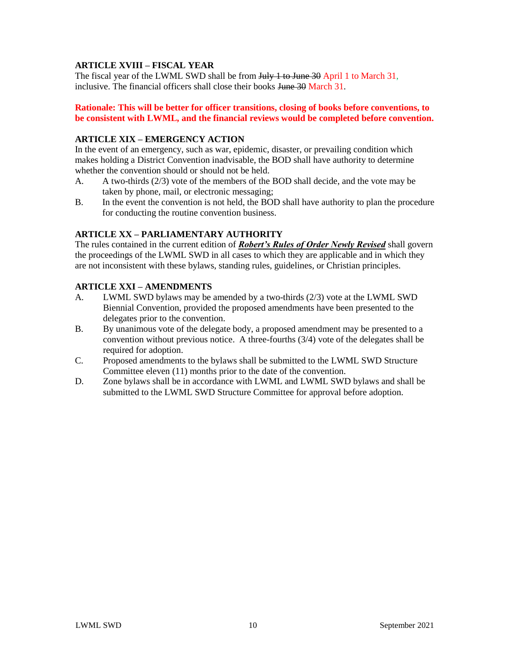# **ARTICLE XVIII – FISCAL YEAR**

The fiscal year of the LWML SWD shall be from July 1 to June 30 April 1 to March 31, inclusive. The financial officers shall close their books June 30 March 31.

#### **Rationale: This will be better for officer transitions, closing of books before conventions, to be consistent with LWML, and the financial reviews would be completed before convention.**

### **ARTICLE XIX – EMERGENCY ACTION**

In the event of an emergency, such as war, epidemic, disaster, or prevailing condition which makes holding a District Convention inadvisable, the BOD shall have authority to determine whether the convention should or should not be held.

- A. A two-thirds (2/3) vote of the members of the BOD shall decide, and the vote may be taken by phone, mail, or electronic messaging;
- B. In the event the convention is not held, the BOD shall have authority to plan the procedure for conducting the routine convention business.

### **ARTICLE XX – PARLIAMENTARY AUTHORITY**

The rules contained in the current edition of *Robert's Rules of Order Newly Revised* shall govern the proceedings of the LWML SWD in all cases to which they are applicable and in which they are not inconsistent with these bylaws, standing rules, guidelines, or Christian principles.

### **ARTICLE XXI – AMENDMENTS**

- A. LWML SWD bylaws may be amended by a two-thirds (2/3) vote at the LWML SWD Biennial Convention, provided the proposed amendments have been presented to the delegates prior to the convention.
- B. By unanimous vote of the delegate body, a proposed amendment may be presented to a convention without previous notice. A three-fourths (3/4) vote of the delegates shall be required for adoption.
- C. Proposed amendments to the bylaws shall be submitted to the LWML SWD Structure Committee eleven (11) months prior to the date of the convention.
- D. Zone bylaws shall be in accordance with LWML and LWML SWD bylaws and shall be submitted to the LWML SWD Structure Committee for approval before adoption.